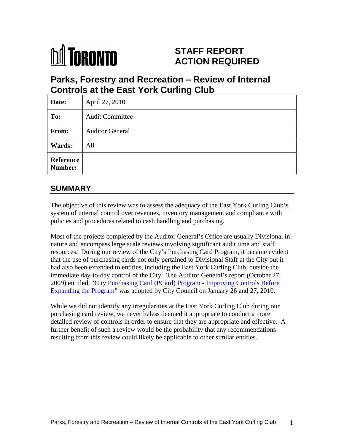

# **STAFF REPORT ACTION REQUIRED**

# **Parks, Forestry and Recreation – Review of Internal Controls at the East York Curling Club**

| Date:         | April 27, 2010         |  |
|---------------|------------------------|--|
| To:           | <b>Audit Committee</b> |  |
| From:         | <b>Auditor General</b> |  |
| <b>Wards:</b> | All                    |  |
| Reference     |                        |  |

# **SUMMARY**

The objective of this review was to assess the adequacy of the East York Curling Club's system of internal control over revenues, inventory management and compliance with policies and procedures related to cash handling and purchasing.

Most of the projects completed by the Auditor General's Office are usually Divisional in nature and encompass large scale reviews involving significant audit time and staff resources. During our review of the City's Purchasing Card Program, it became evident that the use of purchasing cards not only pertained to Divisional Staff at the City but it had also been extended to entities, including the East York Curling Club, outside the immediate day-to-day control of the City. The Auditor General's report (October 27, 2009) entitled, "City Purchasing Card (PCard) Program - Improving Controls Before Expanding the Program" was adopted by City Council on January 26 and 27, 2010.

While we did not identify any irregularities at the East York Curling Club during our purchasing card review, we nevertheless deemed it appropriate to conduct a more detailed review of controls in order to ensure that they are appropriate and effective. A further benefit of such a review would be the probability that any recommendations resulting from this review could likely be applicable to other similar entities.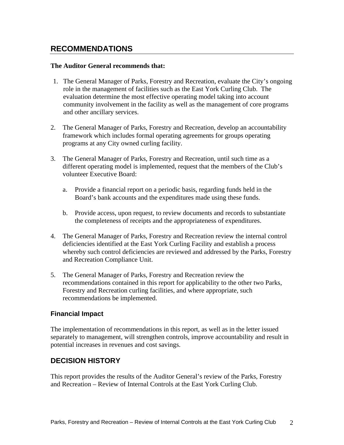# **RECOMMENDATIONS**

### **The Auditor General recommends that:**

- 1. The General Manager of Parks, Forestry and Recreation, evaluate the City's ongoing role in the management of facilities such as the East York Curling Club. The evaluation determine the most effective operating model taking into account community involvement in the facility as well as the management of core programs and other ancillary services.
- 2. The General Manager of Parks, Forestry and Recreation, develop an accountability framework which includes formal operating agreements for groups operating programs at any City owned curling facility.
- 3. The General Manager of Parks, Forestry and Recreation, until such time as a different operating model is implemented, request that the members of the Club's volunteer Executive Board:
	- a. Provide a financial report on a periodic basis, regarding funds held in the Board's bank accounts and the expenditures made using these funds.
	- b. Provide access, upon request, to review documents and records to substantiate the completeness of receipts and the appropriateness of expenditures.
- 4. The General Manager of Parks, Forestry and Recreation review the internal control deficiencies identified at the East York Curling Facility and establish a process whereby such control deficiencies are reviewed and addressed by the Parks, Forestry and Recreation Compliance Unit.
- 5. The General Manager of Parks, Forestry and Recreation review the recommendations contained in this report for applicability to the other two Parks, Forestry and Recreation curling facilities, and where appropriate, such recommendations be implemented.

### **Financial Impact**

The implementation of recommendations in this report, as well as in the letter issued separately to management, will strengthen controls, improve accountability and result in potential increases in revenues and cost savings.

### **DECISION HISTORY**

This report provides the results of the Auditor General's review of the Parks, Forestry and Recreation – Review of Internal Controls at the East York Curling Club.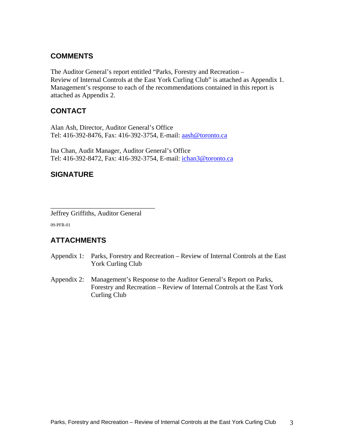### **COMMENTS**

The Auditor General's report entitled "Parks, Forestry and Recreation – Review of Internal Controls at the East York Curling Club" is attached as Appendix 1. Management's response to each of the recommendations contained in this report is attached as Appendix 2.

## **CONTACT**

Alan Ash, Director, Auditor General's Office Tel: 416-392-8476, Fax: 416-392-3754, E-mail: aash@toronto.ca

Ina Chan, Audit Manager, Auditor General's Office Tel: 416-392-8472, Fax: 416-392-3754, E-mail: ichan3@toronto.ca

## **SIGNATURE**

Jeffrey Griffiths, Auditor General 09-PFR-01

# **ATTACHMENTS**

Appendix 1: Parks, Forestry and Recreation – Review of Internal Controls at the East York Curling Club

 $\overline{\phantom{a}}$  , we are the contract of the contract of the contract of the contract of the contract of the contract of the contract of the contract of the contract of the contract of the contract of the contract of the cont

Appendix 2: Management's Response to the Auditor General's Report on Parks, Forestry and Recreation – Review of Internal Controls at the East York Curling Club